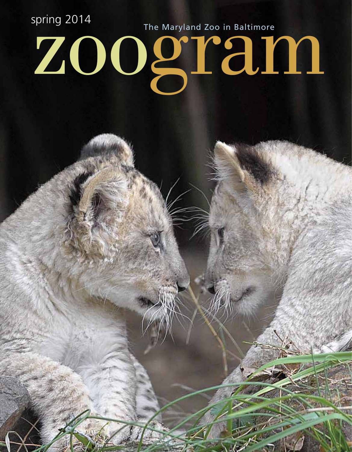spring 2014<br>**ZOO**grammazoo in Baltimore The Maryland Zoo in Baltimore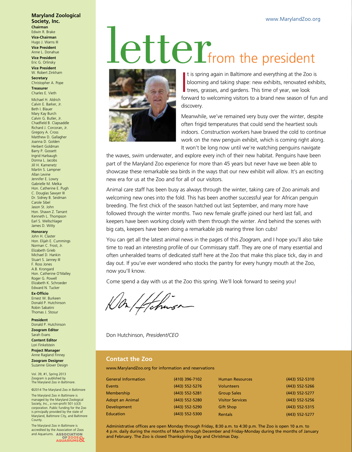#### **Maryland Zoological Society, Inc. Chairman**

Edwin R. Brake **Vice-Chairman** Hugo J. Warns III **Vice President** Anne L. Donahue

**Vice President** Eric G. Orlinsky **Vice President**

W. Robert Zinkham **Secretary** Christopher A. Pope

**Treasurer** Charles E. Vieth

Michael H. Aldrich Calvin E. Barker, Jr. Beth I. Blauer Mary Kay Burch Calvin G. Butler, Jr. Chadfield B. Clapsaddle Richard J. Corcoran, Jr. Gregory A. Cross Matthew D. Gallagher Joanna D. Golden Herbert Goldman Barry P. Gossett Ingrid Harbaugh Donna L. Jacobs Jill H. Kamenetz Martin S. Lampner Allan Levine Jennifer E. Lowry Gabrielle M. Melka Hon. Catherine E. Pugh C. Douglas Sawyer III Dr. Sidney B. Seidman Carole Sibel Jason St. John Hon. Shawn Z. Tarrant Kenneth L. Thompson Earl S. Wellschlager James D. Witty

#### **Honorary**

John H. Claster Hon. Elijah E. Cummings Norman C. Frost, Jr. Elizabeth Grieb Michael D. Hankin Stuart S. Janney III F. Ross Jones A.B. Krongard Hon. Catherine O'Malley Roger G. Powell Elizabeth K. Schroeder Edward N. Tucker

**Ex-Officio** Ernest W. Burkeen Donald P. Hutchinson Robin Sabatini Thomas J. Stosur

**President** Donald P. Hutchinson **Zoogram Editor** Sarah Evans **Content Editor** Lori Finkelstein **Project Manager** Anne Ragland Finney

**Zoogram Designer** Suzanne Glover Design

Vol. 39, #1, Spring 2013 Zoogram is published by The Maryland Zoo in Baltimore.

©2014 The Maryland Zoo in Baltimore The Maryland Zoo in Baltimore is managed by the Maryland Zoological Society, Inc., a non-profit 501 (c)(3) corporation. Public funding for the Zoo is principally provided by the state of Maryland, Baltimore City, and Baltimore County.

The Maryland Zoo in Baltimore is accredited by the Association of Zoos and Aquariums. ASSOCIATION OF ZOOS OF

## Letter<sub>from the president</sub>



It is spring again in Baltimore and everything at the Zoo is<br>blooming and taking shape: new exhibits, renovated exhibited<br>trees, grasses, and gardens. This time of year, we look<br>forward to violencing visitors to a brand ne blooming and taking shape: new exhibits, renovated exhibits, trees, grasses, and gardens. This time of year, we look forward to welcoming visitors to a brand new season of fun and discovery.

Meanwhile, we've remained very busy over the winter, despite often frigid temperatures that could send the heartiest souls indoors. Construction workers have braved the cold to continue work on the new penguin exhibit, which is coming right along. It won't be long now until we're watching penguins navigate

the waves, swim underwater, and explore every inch of their new habitat. Penguins have been part of the Maryland Zoo experience for more than 45 years but never have we been able to showcase these remarkable sea birds in the ways that our new exhibit will allow. It's an exciting new era for us at the Zoo and for all of our visitors.

Animal care staff has been busy as always through the winter, taking care of Zoo animals and welcoming new ones into the fold. This has been another successful year for African penguin breeding. The first chick of the season hatched out last September, and many more have followed through the winter months. Two new female giraffe joined our herd last fall, and keepers have been working closely with them through the winter. And behind the scenes with big cats, keepers have been doing a remarkable job rearing three lion cubs!

You can get all the latest animal news in the pages of this *Zoogram*, and I hope you'll also take time to read an interesting profile of our Commissary staff. They are one of many essential and often unheralded teams of dedicated staff here at the Zoo that make this place tick, day in and day out. If you've ever wondered who stocks the pantry for every hungry mouth at the Zoo, now you'll know.

Come spend a day with us at the Zoo this spring. We'll look forward to seeing you!

Don Hutchinson, *President/CEO* 

### **Contact the Zoo**

www.MarylandZoo.org for information and reservations

| <b>General Information</b> | (410) 396-7102 | <b>Human Resources</b>  | (443) 552-5310   |
|----------------------------|----------------|-------------------------|------------------|
| <b>Events</b>              | (443) 552-5276 | <b>Volunteers</b>       | (443) 552-5266   |
| <b>Membership</b>          | (443) 552-5281 | <b>Group Sales</b>      | $(443)$ 552-5277 |
| <b>Adopt an Animal</b>     | (443) 552-5280 | <b>Visitor Services</b> | (443) 552-5256   |
| <b>Development</b>         | (443) 552-5290 | <b>Gift Shop</b>        | $(443)$ 552-5315 |
| <b>Education</b>           | (443) 552-5300 | <b>Rentals</b>          | (443) 552-5277   |
|                            |                |                         |                  |

Administrative offices are open Monday through Friday, 8:30 a.m. to 4:30 p.m. The Zoo is open 10 a.m. to 4 p.m. daily during the months of March through December and Friday-Monday during the months of January and February. The Zoo is closed Thanksgiving Day and Christmas Day.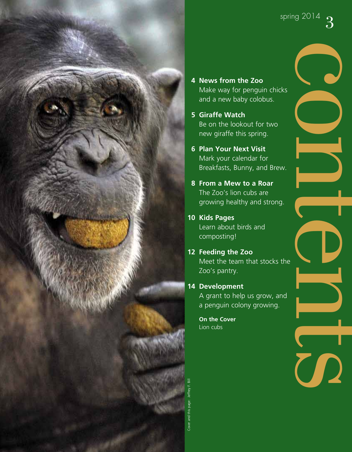

- **4 News from the Zoo** Make way for penguin chicks and a new baby colobus.
- **5 Giraffe Watch** Be on the lookout for two new giraffe this spring.
- **6 Plan Your Next Visit** Mark your calendar for Breakfasts, Bunny, and Brew.
- **8 From a Mew to a Roar** The Zoo's lion cubs are growing healthy and strong.
- **10 Kids Pages** Learn about birds and composting!
- **12 Feeding the Zoo** Meet the team that stocks the
- Zoo's pantry. **14 Development**
	- A grant to help us grow, and a penguin colony growing.

**On the Cover** Lion cubs

 $\bigcirc$ 

o

n

 $\overline{\phantom{a}}$ 

**CD** 

 $\blacksquare$ 

**technology** 

 $\mathbf{C}$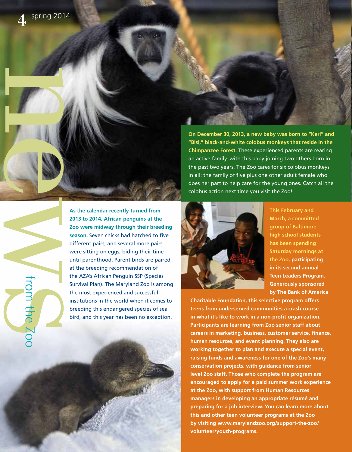**On December 30, 2013, a new baby was born to "Keri" and "Bisi," black-and-white colobus monkeys that reside in the Chimpanzee Forest.** These experienced parents are rearing an active family, with this baby joining two others born in the past two years. The Zoo cares for six colobus monkeys in all: the family of five plus one other adult female who does her part to help care for the young ones. Catch all the colobus action next time you visit the Zoo!



**This February and March, a committed group of Baltimore high school students has been spending Saturday mornings at the Zoo, participating in its second annual Teen Leaders Program. Generously sponsored by The Bank of America** 

**Charitable Foundation, this selective program offers teens from underserved communities a crash course in what it's like to work in a non-profit organization. Participants are learning from Zoo senior staff about careers in marketing, business, customer service, finance, human resources, and event planning. They also are working together to plan and execute a special event, raising funds and awareness for one of the Zoo's many conservation projects, with guidance from senior level Zoo staff. Those who complete the program are encouraged to apply for a paid summer work experience at the Zoo, with support from Human Resources managers in developing an appropriate résumé and preparing for a job interview. You can learn more about this and other teen volunteer programs at the Zoo by visiting www.marylandzoo.org/support-the-zoo/ volunteer/youth-programs.** 

news **2013 to 2014, African penguins at the Zoo were midway through their breeding season.** Seven chicks had hatched to five different pairs, and several more pairs were sitting on eggs, biding their time until parenthood. Parent birds are paired at the breeding recommendation of the AZA's African Penguin SSP (Species Survival Plan). The Maryland Zoo is among the most experienced and successful institutions in the world when it comes to breeding this endangered species of sea bird, and this year has been no exception.

from the Zoo

**As the calendar recently turned from**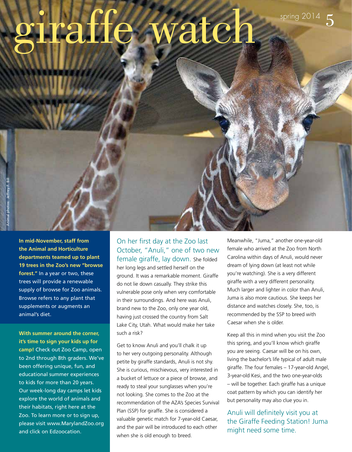# ring the watch

**In mid-November, staff from the Animal and Horticulture departments teamed up to plant 19 trees in the Zoo's new "browse forest."** In a year or two, these trees will provide a renewable supply of browse for Zoo animals. Browse refers to any plant that supplements or augments an animal's diet.

**With summer around the corner, it's time to sign your kids up for camp!** Check out Zoo Camp, open to 2nd through 8th graders. We've been offering unique, fun, and educational summer experiences to kids for more than 20 years. Our week-long day camps let kids explore the world of animals and their habitats, right here at the Zoo. To learn more or to sign up, please visit www.MarylandZoo.org and click on Edzoocation.

On her first day at the Zoo last October, "Anuli," one of two new female giraffe, lay down. She folded her long legs and settled herself on the ground. It was a remarkable moment. Giraffe do not lie down casually. They strike this vulnerable pose only when very comfortable in their surroundings. And here was Anuli, brand new to the Zoo, only one year old, having just crossed the country from Salt Lake City, Utah. What would make her take such a risk?

Get to know Anuli and you'll chalk it up to her very outgoing personality. Although petite by giraffe standards, Anuli is not shy. She is curious, mischievous, very interested in a bucket of lettuce or a piece of browse, and ready to steal your sunglasses when you're not looking. She comes to the Zoo at the recommendation of the AZA's Species Survival Plan (SSP) for giraffe. She is considered a valuable genetic match for 7-year-old Caesar, and the pair will be introduced to each other when she is old enough to breed.

Meanwhile, "Juma," another one-year-old female who arrived at the Zoo from North Carolina within days of Anuli, would never dream of lying down (at least not while you're watching). She is a very different giraffe with a very different personality. Much larger and lighter in color than Anuli, Juma is also more cautious. She keeps her distance and watches closely. She, too, is recommended by the SSP to breed with Caesar when she is older.

Keep all this in mind when you visit the Zoo this spring, and you'll know which giraffe you are seeing. Caesar will be on his own, living the bachelor's life typical of adult male giraffe. The four females – 17-year-old Angel, 3-year-old Kesi, and the two one-year-olds – will be together. Each giraffe has a unique coat pattern by which you can identify her but personality may also clue you in.

Anuli will definitely visit you at the Giraffe Feeding Station! Juma might need some time.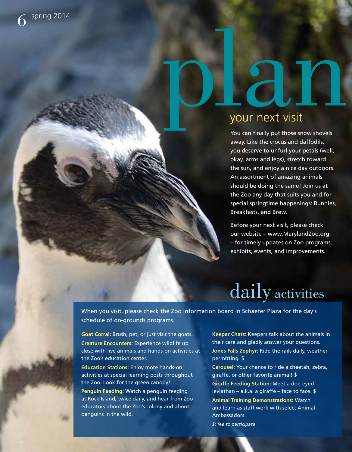# pour next visit

You can finally put those snow shovels away. Like the crocus and daffodils, you deserve to unfurl your petals (well, okay, arms and legs), stretch toward the sun, and enjoy a nice day outdoors. An assortment of amazing animals should be doing the same! Join us at the Zoo any day that suits you and for special springtime happenings: Bunnies, Breakfasts, and Brew.

Before your next visit, please check our website – www.MarylandZoo.org – for timely updates on Zoo programs, exhibits, events, and improvements.

## daily activities

When you visit, please check the Zoo information board in Schaefer Plaza for the day's schedule of on-grounds programs.

**Goat Corral:** Brush, pet, or just visit the goats. **Creature Encounters:** Experience wildlife up close with live animals and hands-on activities at the Zoo's education center.

**Education Stations:** Enjoy more hands-on activities at special learning posts throughout the Zoo. Look for the green canopy!

**Penguin Feeding:** Watch a penguin feeding at Rock Island, twice daily, and hear from Zoo educators about the Zoo's colony and about penguins in the wild.

**Keeper Chats:** Keepers talk about the animals in their care and gladly answer your questions. **Jones Falls Zephyr:** Ride the rails daily, weather permitting. \$

**Carousel:** Your chance to ride a cheetah, zebra, giraffe, or other favorite animal! \$

**Giraffe Feeding Station:** Meet a doe-eyed leviathan – a.k.a. a giraffe – face to face. \$ **Animal Training Demonstrations:** Watch and learn as staff work with select Animal Ambassadors.

*\$: fee to participate*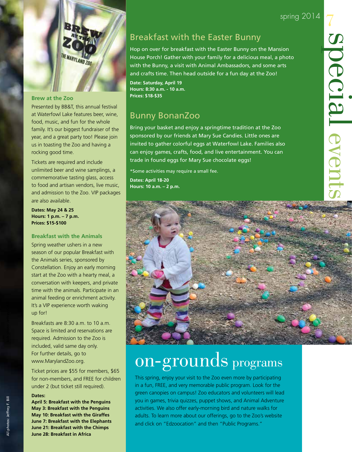spring 2014

7

special



### **Brew at the Zoo**

Presented by BB&T, this annual festival at Waterfowl Lake features beer, wine, food, music, and fun for the whole family. It's our biggest fundraiser of the year, and a great party too! Please join us in toasting the Zoo and having a rocking good time.

Tickets are required and include unlimited beer and wine samplings, a commemorative tasting glass, access to food and artisan vendors, live music, and admission to the Zoo. VIP packages are also available.

**Dates: May 24 & 25 Hours: 1 p.m. – 7 p.m. Prices: \$15-\$100**

### **Breakfast with the Animals**

Spring weather ushers in a new season of our popular Breakfast with the Animals series, sponsored by Constellation. Enjoy an early morning start at the Zoo with a hearty meal, a conversation with keepers, and private time with the animals. Participate in an animal feeding or enrichment activity. It's a VIP experience worth waking up for!

Breakfasts are 8:30 a.m. to 10 a.m. Space is limited and reservations are required. Admission to the Zoo is included, valid same day only. For further details, go to www.MarylandZoo.org.

Ticket prices are \$55 for members, \$65 for non-members, and FREE for children under 2 (but ticket still required).

### **Dates:**

**April 5: Breakfast with the Penguins May 3: Breakfast with the Penguins May 10: Breakfast with the Giraffes June 7: Breakfast with the Elephants June 21: Breakfast with the Chimps June 28: Breakfast in Africa**

### Breakfast with the Easter Bunny

Hop on over for breakfast with the Easter Bunny on the Mansion House Porch! Gather with your family for a delicious meal, a photo with the Bunny, a visit with Animal Ambassadors, and some arts and crafts time. Then head outside for a fun day at the Zoo!

**Date: Saturday, April 19 Hours: 8:30 a.m. - 10 a.m. Prices: \$18-\$35**

### Bunny BonanZoo

Bring your basket and enjoy a springtime tradition at the Zoo sponsored by our friends at Mary Sue Candies. Little ones are invited to gather colorful eggs at Waterfowl Lake. Families also can enjoy games, crafts, food, and live entertainment. You can trade in found eggs for Mary Sue chocolate eggs!

\*Some activities may require a small fee. **Dates: April 18-20 Hours: 10 a.m. – 2 p.m.**



## on-grounds programs

This spring, enjoy your visit to the Zoo even more by participating in a fun, FREE, and very memorable public program. Look for the green canopies on campus! Zoo educators and volunteers will lead you in games, trivia quizzes, puppet shows, and Animal Adventure activities. We also offer early-morning bird and nature walks for adults. To learn more about our offerings, go to the Zoo's website and click on "Edzoocation" and then "Public Programs."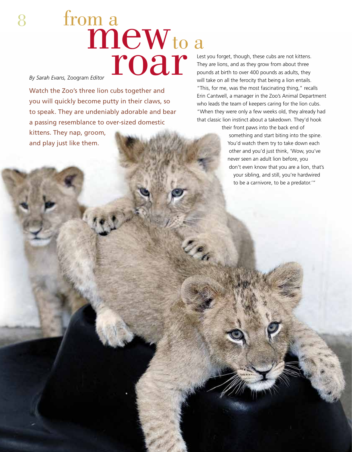### ma<br>mew from a to a roar

*By Sarah Evans,* Zoogram *Editor*

8

Watch the Zoo's three lion cubs together and you will quickly become putty in their claws, so to speak. They are undeniably adorable and bear a passing resemblance to over-sized domestic kittens. They nap, groom, and play just like them.

Lest you forget, though, these cubs are not kittens. They are lions, and as they grow from about three pounds at birth to over 400 pounds as adults, they will take on all the ferocity that being a lion entails. "This, for me, was the most fascinating thing," recalls Erin Cantwell, a manager in the Zoo's Animal Department who leads the team of keepers caring for the lion cubs. "When they were only a few weeks old, they already had that classic lion instinct about a takedown. They'd hook

> their front paws into the back end of something and start biting into the spine. You'd watch them try to take down each other and you'd just think, 'Wow, you've never seen an adult lion before, you don't even know that you are a lion, that's your sibling, and still, you're hardwired to be a carnivore, to be a predator.'"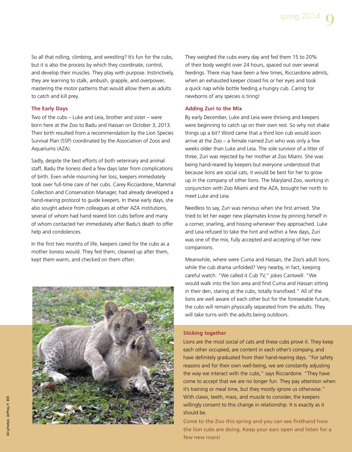So all that rolling, climbing, and wrestling? It's fun for the cubs, but it is also the process by which they coordinate, control, and develop their muscles. They play with purpose. Instinctively, they are learning to stalk, ambush, grapple, and overpower, mastering the motor patterns that would allow them as adults to catch and kill prey.

### **The Early Days**

Two of the cubs – Luke and Leia, brother and sister – were born here at the Zoo to Badu and Hassan on October 3, 2013. Their birth resulted from a recommendation by the Lion Species Survival Plan (SSP) coordinated by the Association of Zoos and Aquariums (AZA).

Sadly, despite the best efforts of both veterinary and animal staff, Badu the lioness died a few days later from complications of birth. Even while mourning her loss, keepers immediately took over full-time care of her cubs. Carey Ricciardone, Mammal Collection and Conservation Manager, had already developed a hand-rearing protocol to guide keepers. In these early days, she also sought advice from colleagues at other AZA institutions, several of whom had hand reared lion cubs before and many of whom contacted her immediately after Badu's death to offer help and condolences.

In the first two montris of fife, keepers cared for the clus as a<br>mother lioness would. They fed them, cleaned up after them, In the first two months of life, keepers cared for the cubs as a kept them warm, and checked on them often.



They weighed the cubs every day and fed them 15 to 20% of their body weight over 24 hours, spaced out over several feedings. There may have been a few times, Ricciardone admits, when an exhausted keeper closed his or her eyes and took a quick nap while bottle feeding a hungry cub. Caring for newborns of any species is tiring!

### **Adding Zuri to the Mix**

By early December, Luke and Leia were thriving and keepers were beginning to catch up on their own rest. So why not shake things up a bit? Word came that a third lion cub would soon arrive at the Zoo – a female named Zuri who was only a few weeks older than Luke and Leia. The sole survivor of a litter of three, Zuri was rejected by her mother at Zoo Miami. She was being hand-reared by keepers but everyone understood that because lions are social cats, it would be best for her to grow up in the company of other lions. The Maryland Zoo, working in conjunction with Zoo Miami and the AZA, brought her north to meet Luke and Leia.

watch the Zoo's three line and you will guide the mix and you will guide the mix and you will guide the mix and you will guide the mix and you will guide the mix and you will guide the mix and accepting of her new Needless to say, Zuri was nervous when she first arrived. She tried to let her eager new playmates know by pinning herself in a corner, snarling, and hissing whenever they approached. Luke and Leia refused to take the hint and within a few days, Zuri companions.

> Meanwhile, where were Cuma and Hassan, the Zoo's adult lions, while the cub drama unfolded? Very nearby, in fact, keeping careful watch. "We called it Cub TV," jokes Cantwell. "We would walk into the lion area and find Cuma and Hassan sitting in their den, staring at the cubs, totally transfixed." All of the lions are well aware of each other but for the foreseeable future, the cubs will remain physically separated from the adults. They will take turns with the adults being outdoors.

### **Sticking together**

Lions are the most social of cats and these cubs prove it. They keep each other occupied, are content in each other's company, and have definitely graduated from their hand-rearing days. "For safety reasons and for their own well-being, we are constantly adjusting the way we interact with the cubs," says Ricciardone. "They have come to accept that we are no longer fun. They pay attention when it's training or meal time, but they mostly ignore us otherwise." With claws, teeth, mass, and muscle to consider, the keepers willingly consent to this change in relationship. It is exactly as it should be.

Come to the Zoo this spring and you can see firsthand how the lion cubs are doing. Keep your ears open and listen for a few new roars!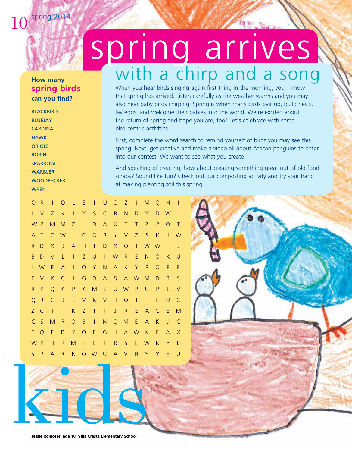$10^{$  spring 2014

### **How many spring birds can you find?**

**BLACKBIRD** BLUEJAY **CARDINAL** HAWK ORIOLE ROBIN **SPARROW WARBLER WOODPECKER WREN** 

# spring arrives with a chirp and a song

When you hear birds singing again first thing in the morning, you'll know that spring has arrived. Listen carefully as the weather warms and you may also hear baby birds chirping. Spring is when many birds pair up, build nests, lay eggs, and welcome their babies into the world. We're excited about the return of spring and hope you are, too! Let's celebrate with some bird-centric activities.

First, complete the word search to remind yourself of birds you may see this spring. Next, get creative and make a video all about African penguins to enter into our contest. We want to see what you create!

And speaking of creating, how about creating something great out of old food scraps? Sound like fun? Check out our composting activity and try your hand at making planting soil this spring.

O R I O L E I U Q Z J M Q H I I M Z K I Y S C B N D Y D W L W Z M M Z I D A X T T Z P O T A T G W L C O R Y V Z S K J W R D X B A H I D X O T W W I J B D V L J Z U I W R E N O K U L W E A I O Y N A K Y B O F E E V K C I G D A S A W M D B S R P Q K P K M L U W P U P L V Q R C B L M K V H O I I E U C Z C I I K Z T I J R E A C E M C S M R O B I N Q M E A K J C E Q E D Y O E G H A W K E A X W P H J M F L T R S E W R Y B S P A R R O W U A V H Y Y E U

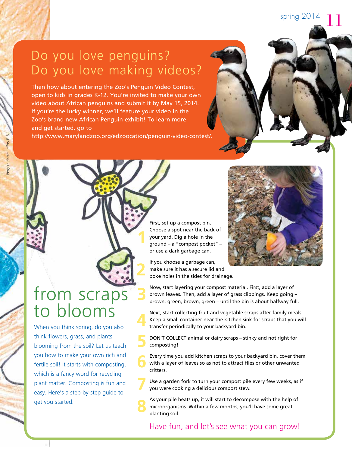### Do you love penguins? Do you love making videos?

Then how about entering the Zoo's Penguin Video Contest, open to kids in grades K-12. You're invited to make your own video about African penguins and submit it by May 15, 2014. If you're the lucky winner, we'll feature your video in the Zoo's brand new African Penguin exhibit! To learn more and get started, go to

http://www.marylandzoo.org/edzoocation/penguin-video-contest/.

**1**

**2**

**3**

**8**

First, set up a compost bin. Choose a spot near the back of your yard. Dig a hole in the ground – a "compost pocket" – or use a dark garbage can.

If you choose a garbage can, make sure it has a secure lid and poke holes in the sides for drainage.

Now, start layering your compost material. First, add a layer of brown leaves. Then, add a layer of grass clippings. Keep going – brown, green, brown, green – until the bin is about halfway full.

Next, start collecting fruit and vegetable scraps after family meals. Keep a small container near the kitchen sink for scraps that you will transfer periodically to your backyard bin. **4**

DON'T COLLECT animal or dairy scraps – stinky and not right for composting! **5**

Every time you add kitchen scraps to your backyard bin, cover them with a layer of leaves so as not to attract flies or other unwanted critters. **6**

Use a garden fork to turn your compost pile every few weeks, as if you were cooking a delicious compost stew. **7**

As your pile heats up, it will start to decompose with the help of microorganisms. Within a few months, you'll have some great planting soil.

Have fun, and let's see what you can grow!

## from scraps to blooms

When you think spring, do you also think flowers, grass, and plants blooming from the soil? Let us teach you how to make your own rich and fertile soil! It starts with composting, which is a fancy word for recycling plant matter. Composting is fun and easy. Here's a step-by-step guide to get you started.



spring 2014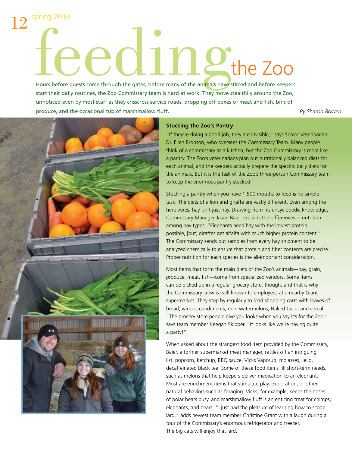## $12^{$  spring 2014 eedingthe Zoo

Hours before quests come through the gates, before many of the animals have stirred and before keepers start their daily routines, the Zoo Commissary team is hard at work. They move stealthily around the Zoo, unnoticed even by most staff as they crisscross service roads, dropping off boxes of meat and fish, bins of produce, and the occasional tub of marshmallow fluff.

*By Sharon Bowen*



### **Stocking the Zoo's Pantry**

"If they're doing a good job, they are invisible," says Senior Veterinarian Dr. Ellen Bronson, who oversees the Commissary Team. Many people think of a commissary as a kitchen, but the Zoo Commissary is more like a pantry. The Zoo's veterinarians plan out nutritionally balanced diets for each animal, and the keepers actually prepare the specific daily diets for the animals. But it is the task of the Zoo's three-person Commissary team to keep the enormous pantry stocked.

Stocking a pantry when you have 1,500 mouths to feed is no simple task. The diets of a lion and giraffe are vastly different. Even among the herbivores, hay isn't just hay. Drawing from his encyclopedic knowledge, Commissary Manager Jason Baier explains the differences in nutrition among hay types. "Elephants need hay with the lowest protein possible, [but] giraffes get alfalfa with much higher protein content." The Commissary sends out samples from every hay shipment to be analyzed chemically to ensure that protein and fiber contents are precise. Proper nutrition for each species is the all-important consideration.

Most items that form the main diets of the Zoo's animals—hay, grain, produce, meat, fish—come from specialized vendors. Some items can be picked up in a regular grocery store, though, and that is why the Commissary crew is well known to employees at a nearby Giant supermarket. They stop by regularly to load shopping carts with loaves of bread, various condiments, mini watermelons, Naked Juice, and cereal. "The grocery store people give you looks when you say it's for the Zoo," says team member Keegan Skipper. "It looks like we're having quite a party!"

When asked about the strangest food item provided by the Commissary, Baier, a former supermarket meat manager, rattles off an intriguing list: popcorn, ketchup, BBQ sauce, Vicks Vaporub, molasses, Jello, decaffeinated black tea. Some of these food items fill short-term needs, such as melons that help keepers deliver medication to an elephant. Most are enrichment items that stimulate play, exploration, or other natural behaviors such as foraging. Vicks, for example, keeps the noses of polar bears busy, and marshmallow fluff is an enticing treat for chimps, elephants, and bears. "I just had the pleasure of learning how to scoop lard," adds newest team member Christine Grant with a laugh during a tour of the Commissary's enormous refrigerator and freezer. The big cats will enjoy that lard.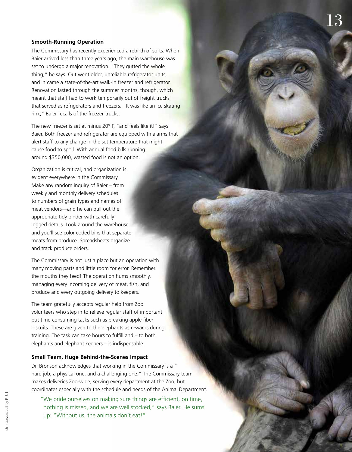### **Smooth-Running Operation**

The Commissary has recently experienced a rebirth of sorts. When Baier arrived less than three years ago, the main warehouse was set to undergo a major renovation. "They gutted the whole thing," he says. Out went older, unreliable refrigerator units, and in came a state-of-the-art walk-in freezer and refrigerator. Renovation lasted through the summer months, though, which meant that staff had to work temporarily out of freight trucks that served as refrigerators and freezers. "It was like an ice skating rink," Baier recalls of the freezer trucks.

The new freezer is set at minus 20° F, "and feels like it!" says Baier. Both freezer and refrigerator are equipped with alarms that alert staff to any change in the set temperature that might cause food to spoil. With annual food bills running around \$350,000, wasted food is not an option.

Organization is critical, and organization is evident everywhere in the Commissary. Make any random inquiry of Baier – from weekly and monthly delivery schedules to numbers of grain types and names of meat vendors—and he can pull out the appropriate tidy binder with carefully logged details. Look around the warehouse and you'll see color-coded bins that separate meats from produce. Spreadsheets organize and track produce orders.

The Commissary is not just a place but an operation with many moving parts and little room for error. Remember the mouths they feed! The operation hums smoothly, managing every incoming delivery of meat, fish, and produce and every outgoing delivery to keepers.

The team gratefully accepts regular help from Zoo volunteers who step in to relieve regular staff of important but time-consuming tasks such as breaking apple fiber biscuits. These are given to the elephants as rewards during training. The task can take hours to fulfill and – to both elephants and elephant keepers – is indispensable.

### **Small Team, Huge Behind-the-Scenes Impact**

Dr. Bronson acknowledges that working in the Commissary is a " hard job, a physical one, and a challenging one." The Commissary team makes deliveries Zoo-wide, serving every department at the Zoo, but coordinates especially with the schedule and needs of the Animal Department. "We pride ourselves on making sure things are efficient, on time,

nothing is missed, and we are well stocked," says Baier. He sums up: "Without us, the animals don't eat!"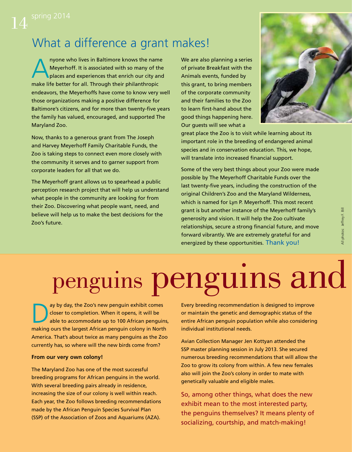### What a difference a grant makes!

A nyone who lives in Baltimore knows the name<br>Meyerhoff. It is associated with so many of the<br>places and experiences that enrich our city and Meyerhoff. It is associated with so many of the places and experiences that enrich our city and make life better for all. Through their philanthropic endeavors, the Meyerhoffs have come to know very well those organizations making a positive difference for Baltimore's citizens, and for more than twenty-five years the family has valued, encouraged, and supported The Maryland Zoo.

Now, thanks to a generous grant from The Joseph and Harvey Meyerhoff Family Charitable Funds, the Zoo is taking steps to connect even more closely with the community it serves and to garner support from corporate leaders for all that we do.

The Meyerhoff grant allows us to spearhead a public perception research project that will help us understand what people in the community are looking for from their Zoo. Discovering what people want, need, and believe will help us to make the best decisions for the Zoo's future.

We are also planning a series of private Breakfast with the Animals events, funded by this grant, to bring members of the corporate community and their families to the Zoo to learn first-hand about the good things happening here. Our guests will see what a



great place the Zoo is to visit while learning about its important role in the breeding of endangered animal species and in conservation education. This, we hope, will translate into increased financial support.

Some of the very best things about your Zoo were made possible by The Meyerhoff Charitable Funds over the last twenty-five years, including the construction of the original Children's Zoo and the Maryland Wilderness, which is named for Lyn P. Meyerhoff. This most recent grant is but another instance of the Meyerhoff family's generosity and vision. It will help the Zoo cultivate relationships, secure a strong financial future, and move forward vibrantly. We are extremely grateful for and energized by these opportunities. Thank you!

## penguins penguins and

ay by day, the Zoo's new penguin exhibit comes closer to completion. When it opens, it will be able to accommodate up to 100 African penguins, making ours the largest African penguin colony in North America. That's about twice as many penguins as the Zoo currently has, so where will the new birds come from?

### **From our very own colony!**

The Maryland Zoo has one of the most successful breeding programs for African penguins in the world. With several breeding pairs already in residence, increasing the size of our colony is well within reach. Each year, the Zoo follows breeding recommendations made by the African Penguin Species Survival Plan (SSP) of the Association of Zoos and Aquariums (AZA).

Every breeding recommendation is designed to improve or maintain the genetic and demographic status of the entire African penguin population while also considering individual institutional needs.

Avian Collection Manager Jen Kottyan attended the SSP master planning session in July 2013. She secured numerous breeding recommendations that will allow the Zoo to grow its colony from within. A few new females also will join the Zoo's colony in order to mate with genetically valuable and eligible males.

So, among other things, what does the new exhibit mean to the most interested party, the penguins themselves? It means plenty of socializing, courtship, and match-making!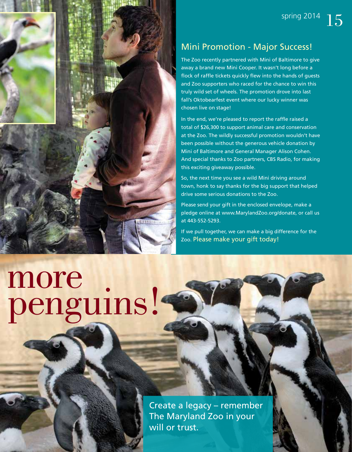

### Mini Promotion - Major Success!

The Zoo recently partnered with Mini of Baltimore to give away a brand new Mini Cooper. It wasn't long before a flock of raffle tickets quickly flew into the hands of guests and Zoo supporters who raced for the chance to win this truly wild set of wheels. The promotion drove into last fall's Oktobearfest event where our lucky winner was chosen live on stage!

In the end, we're pleased to report the raffle raised a total of \$26,300 to support animal care and conservation at the Zoo. The wildly successful promotion wouldn't have been possible without the generous vehicle donation by Mini of Baltimore and General Manager Alison Cohen. And special thanks to Zoo partners, CBS Radio, for making this exciting giveaway possible.

So, the next time you see a wild Mini driving around town, honk to say thanks for the big support that helped drive some serious donations to the Zoo.

Please send your gift in the enclosed envelope, make a pledge online at www.MarylandZoo.org/donate, or call us at 443-552-5293.

If we pull together, we can make a big difference for the Zoo. Please make your gift today!

# more<br>penguins!

Create a legacy – remember The Maryland Zoo in your will or trust.